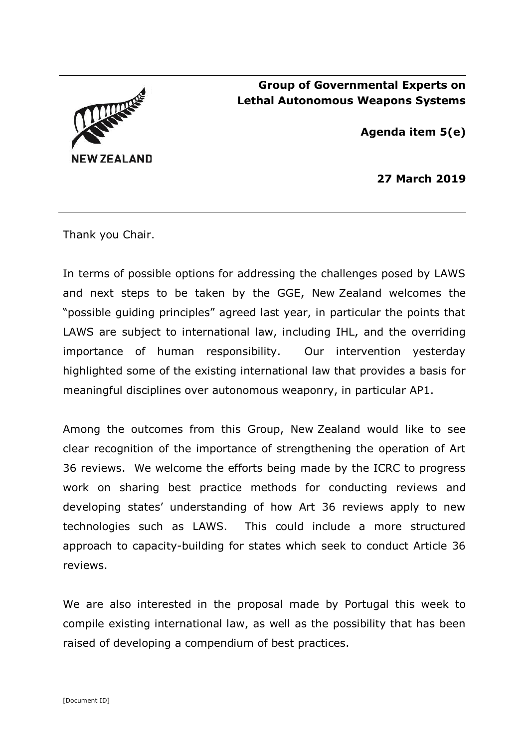

## **Group of Governmental Experts on Lethal Autonomous Weapons Systems**

**Agenda item 5(e)**

**27 March 2019**

Thank you Chair.

In terms of possible options for addressing the challenges posed by LAWS and next steps to be taken by the GGE, New Zealand welcomes the "possible guiding principles" agreed last year, in particular the points that LAWS are subject to international law, including IHL, and the overriding importance of human responsibility. Our intervention yesterday highlighted some of the existing international law that provides a basis for meaningful disciplines over autonomous weaponry, in particular AP1.

Among the outcomes from this Group, New Zealand would like to see clear recognition of the importance of strengthening the operation of Art 36 reviews. We welcome the efforts being made by the ICRC to progress work on sharing best practice methods for conducting reviews and developing states' understanding of how Art 36 reviews apply to new technologies such as LAWS. This could include a more structured approach to capacity-building for states which seek to conduct Article 36 reviews.

We are also interested in the proposal made by Portugal this week to compile existing international law, as well as the possibility that has been raised of developing a compendium of best practices.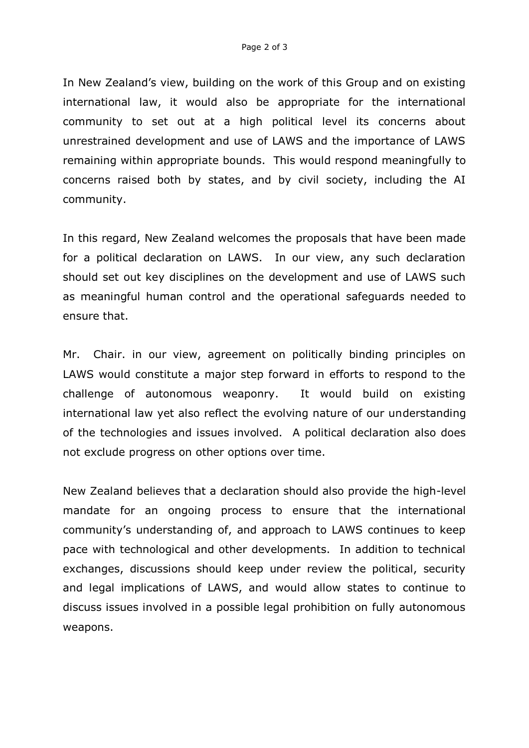In New Zealand's view, building on the work of this Group and on existing international law, it would also be appropriate for the international community to set out at a high political level its concerns about unrestrained development and use of LAWS and the importance of LAWS remaining within appropriate bounds. This would respond meaningfully to concerns raised both by states, and by civil society, including the AI community.

In this regard, New Zealand welcomes the proposals that have been made for a political declaration on LAWS. In our view, any such declaration should set out key disciplines on the development and use of LAWS such as meaningful human control and the operational safeguards needed to ensure that.

Mr. Chair. in our view, agreement on politically binding principles on LAWS would constitute a major step forward in efforts to respond to the challenge of autonomous weaponry. It would build on existing international law yet also reflect the evolving nature of our understanding of the technologies and issues involved. A political declaration also does not exclude progress on other options over time.

New Zealand believes that a declaration should also provide the high-level mandate for an ongoing process to ensure that the international community's understanding of, and approach to LAWS continues to keep pace with technological and other developments. In addition to technical exchanges, discussions should keep under review the political, security and legal implications of LAWS, and would allow states to continue to discuss issues involved in a possible legal prohibition on fully autonomous weapons.